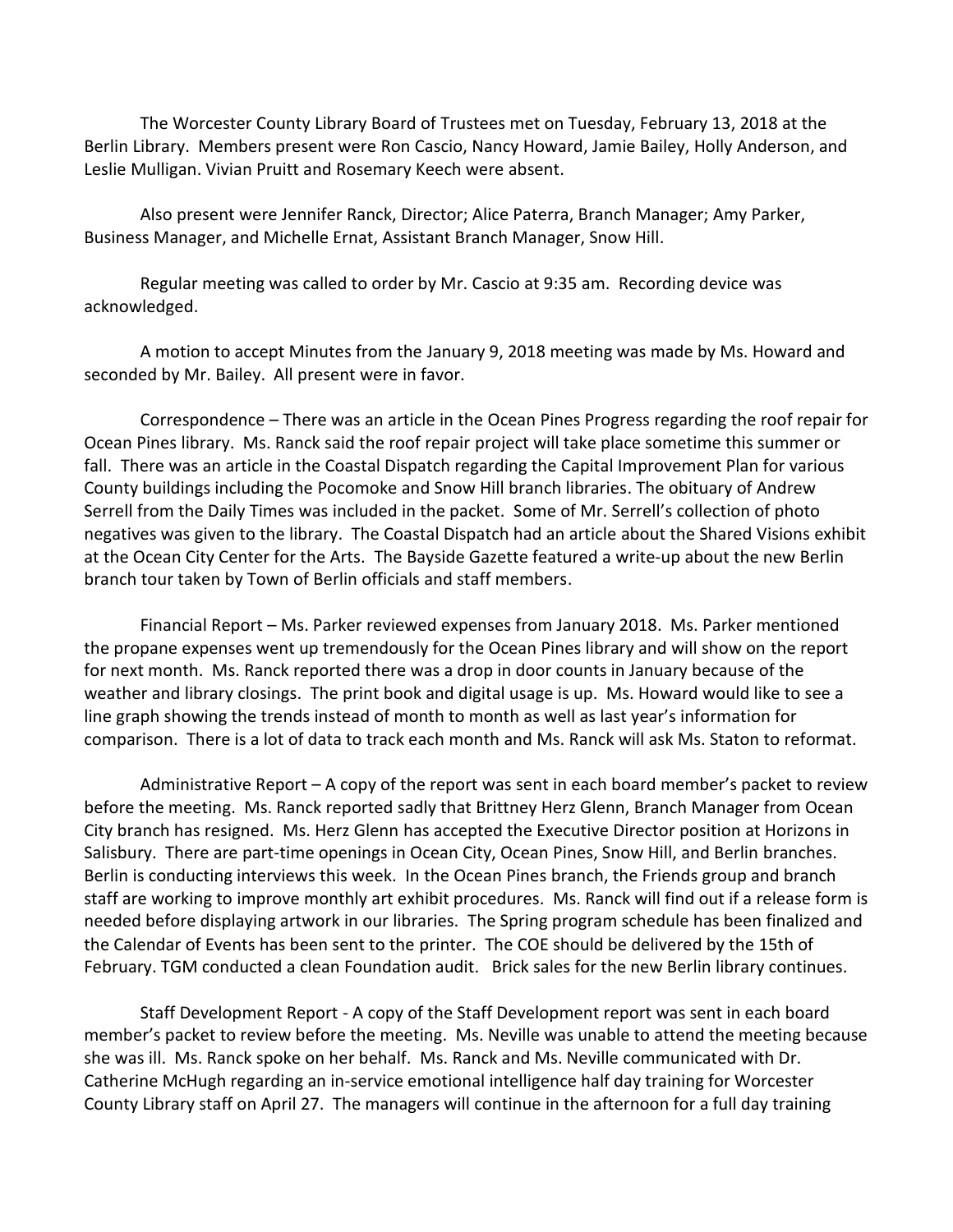The Worcester County Library Board of Trustees met on Tuesday, February 13, 2018 at the Berlin Library. Members present were Ron Cascio, Nancy Howard, Jamie Bailey, Holly Anderson, and Leslie Mulligan. Vivian Pruitt and Rosemary Keech were absent.

Also present were Jennifer Ranck, Director; Alice Paterra, Branch Manager; Amy Parker, Business Manager, and Michelle Ernat, Assistant Branch Manager, Snow Hill.

Regular meeting was called to order by Mr. Cascio at 9:35 am. Recording device was acknowledged.

A motion to accept Minutes from the January 9, 2018 meeting was made by Ms. Howard and seconded by Mr. Bailey. All present were in favor.

Correspondence – There was an article in the Ocean Pines Progress regarding the roof repair for Ocean Pines library. Ms. Ranck said the roof repair project will take place sometime this summer or fall. There was an article in the Coastal Dispatch regarding the Capital Improvement Plan for various County buildings including the Pocomoke and Snow Hill branch libraries. The obituary of Andrew Serrell from the Daily Times was included in the packet. Some of Mr. Serrell's collection of photo negatives was given to the library. The Coastal Dispatch had an article about the Shared Visions exhibit at the Ocean City Center for the Arts. The Bayside Gazette featured a write-up about the new Berlin branch tour taken by Town of Berlin officials and staff members.

Financial Report – Ms. Parker reviewed expenses from January 2018. Ms. Parker mentioned the propane expenses went up tremendously for the Ocean Pines library and will show on the report for next month. Ms. Ranck reported there was a drop in door counts in January because of the weather and library closings. The print book and digital usage is up. Ms. Howard would like to see a line graph showing the trends instead of month to month as well as last year's information for comparison. There is a lot of data to track each month and Ms. Ranck will ask Ms. Staton to reformat.

Administrative Report – A copy of the report was sent in each board member's packet to review before the meeting. Ms. Ranck reported sadly that Brittney Herz Glenn, Branch Manager from Ocean City branch has resigned. Ms. Herz Glenn has accepted the Executive Director position at Horizons in Salisbury. There are part-time openings in Ocean City, Ocean Pines, Snow Hill, and Berlin branches. Berlin is conducting interviews this week. In the Ocean Pines branch, the Friends group and branch staff are working to improve monthly art exhibit procedures. Ms. Ranck will find out if a release form is needed before displaying artwork in our libraries. The Spring program schedule has been finalized and the Calendar of Events has been sent to the printer. The COE should be delivered by the 15th of February. TGM conducted a clean Foundation audit. Brick sales for the new Berlin library continues.

Staff Development Report - A copy of the Staff Development report was sent in each board member's packet to review before the meeting. Ms. Neville was unable to attend the meeting because she was ill. Ms. Ranck spoke on her behalf. Ms. Ranck and Ms. Neville communicated with Dr. Catherine McHugh regarding an in-service emotional intelligence half day training for Worcester County Library staff on April 27. The managers will continue in the afternoon for a full day training